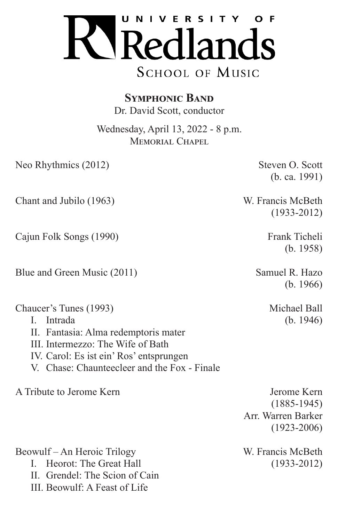

**Symphonic Band** Dr. David Scott, conductor

Wednesday, April 13, 2022 - 8 p.m. MEMORIAL CHAPEL

Neo Rhythmics (2012) Steven O. Scott

(b. ca. 1991)

(1933-2012)

(b. 1958)

(b. 1966)

Chant and Jubilo (1963) W. Francis McBeth

Cajun Folk Songs (1990) Frank Ticheli

Blue and Green Music (2011) Samuel R. Hazo

Chaucer's Tunes (1993) Michael Ball I. Intrada (b. 1946)

- II. Fantasia: Alma redemptoris mater
- III. Intermezzo: The Wife of Bath
- IV. Carol: Es ist ein' Ros' entsprungen
- V. Chase: Chaunteecleer and the Fox Finale

A Tribute to Jerome Kern **Jerome Kern** Jerome Kern

(1885-1945) Arr. Warren Barker (1923-2006)

Beowulf – An Heroic Trilogy W. Francis McBeth

I. Heorot: The Great Hall (1933-2012)

II. Grendel: The Scion of Cain

III. Beowulf: A Feast of Life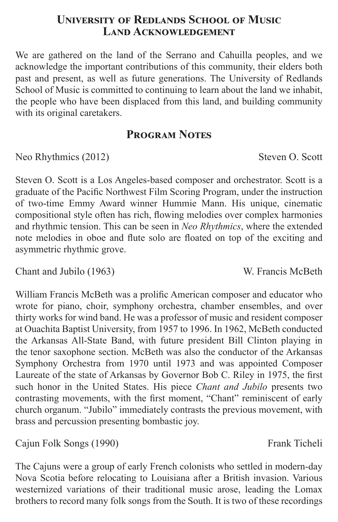## **University of Redlands School of Music Land Acknowledgement**

We are gathered on the land of the Serrano and Cahuilla peoples, and we acknowledge the important contributions of this community, their elders both past and present, as well as future generations. The University of Redlands School of Music is committed to continuing to learn about the land we inhabit, the people who have been displaced from this land, and building community with its original caretakers.

# **Program Notes**

Neo Rhythmics (2012) Steven O. Scott

Steven O. Scott is a Los Angeles-based composer and orchestrator. Scott is a graduate of the Pacific Northwest Film Scoring Program, under the instruction of two-time Emmy Award winner Hummie Mann. His unique, cinematic compositional style often has rich, flowing melodies over complex harmonies and rhythmic tension. This can be seen in *Neo Rhythmics*, where the extended note melodies in oboe and flute solo are floated on top of the exciting and asymmetric rhythmic grove.

Chant and Jubilo (1963) W. Francis McBeth

William Francis McBeth was a prolific American composer and educator who wrote for piano, choir, symphony orchestra, chamber ensembles, and over thirty works for wind band. He was a professor of music and resident composer at Ouachita Baptist University, from 1957 to 1996. In 1962, McBeth conducted the Arkansas All-State Band, with future president Bill Clinton playing in the tenor saxophone section. McBeth was also the conductor of the Arkansas Symphony Orchestra from 1970 until 1973 and was appointed Composer Laureate of the state of Arkansas by Governor Bob C. Riley in 1975, the first such honor in the United States. His piece *Chant and Jubilo* presents two contrasting movements, with the first moment, "Chant" reminiscent of early church organum. "Jubilo" immediately contrasts the previous movement, with brass and percussion presenting bombastic joy.

Cajun Folk Songs (1990) Frank Ticheli

The Cajuns were a group of early French colonists who settled in modern-day Nova Scotia before relocating to Louisiana after a British invasion. Various westernized variations of their traditional music arose, leading the Lomax brothers to record many folk songs from the South. It is two of these recordings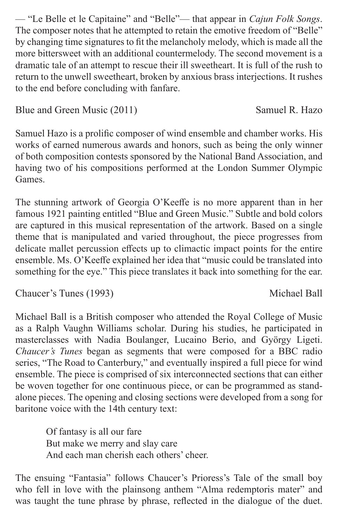— "Le Belle et le Capitaine" and "Belle"— that appear in *Cajun Folk Songs*. The composer notes that he attempted to retain the emotive freedom of "Belle" by changing time signatures to fit the melancholy melody, which is made all the more bittersweet with an additional countermelody. The second movement is a dramatic tale of an attempt to rescue their ill sweetheart. It is full of the rush to return to the unwell sweetheart, broken by anxious brass interjections. It rushes to the end before concluding with fanfare.

Blue and Green Music (2011) Samuel R. Hazo

Samuel Hazo is a prolific composer of wind ensemble and chamber works. His works of earned numerous awards and honors, such as being the only winner of both composition contests sponsored by the National Band Association, and having two of his compositions performed at the London Summer Olympic Games.

The stunning artwork of Georgia O'Keeffe is no more apparent than in her famous 1921 painting entitled "Blue and Green Music." Subtle and bold colors are captured in this musical representation of the artwork. Based on a single theme that is manipulated and varied throughout, the piece progresses from delicate mallet percussion effects up to climactic impact points for the entire ensemble. Ms. O'Keeffe explained her idea that "music could be translated into something for the eye." This piece translates it back into something for the ear.

Chaucer's Tunes (1993) Michael Ball

Michael Ball is a British composer who attended the Royal College of Music as a Ralph Vaughn Williams scholar. During his studies, he participated in masterclasses with Nadia Boulanger, Lucaino Berio, and György Ligeti. *Chaucer's Tunes* began as segments that were composed for a BBC radio series, "The Road to Canterbury," and eventually inspired a full piece for wind ensemble. The piece is comprised of six interconnected sections that can either be woven together for one continuous piece, or can be programmed as standalone pieces. The opening and closing sections were developed from a song for baritone voice with the 14th century text:

Of fantasy is all our fare But make we merry and slay care And each man cherish each others' cheer.

The ensuing "Fantasia" follows Chaucer's Prioress's Tale of the small boy who fell in love with the plainsong anthem "Alma redemptoris mater" and was taught the tune phrase by phrase, reflected in the dialogue of the duet.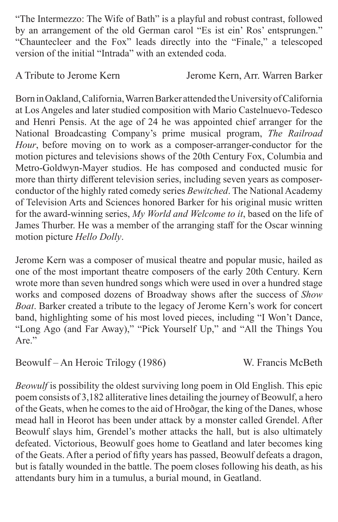"The Intermezzo: The Wife of Bath" is a playful and robust contrast, followed by an arrangement of the old German carol "Es ist ein' Ros' entsprungen." "Chauntecleer and the Fox" leads directly into the "Finale," a telescoped version of the initial "Intrada" with an extended coda.

A Tribute to Jerome Kern Jerome Kern, Arr. Warren Barker

Born in Oakland, California, Warren Barker attended the University of California at Los Angeles and later studied composition with Mario Castelnuevo-Tedesco and Henri Pensis. At the age of 24 he was appointed chief arranger for the National Broadcasting Company's prime musical program, *The Railroad Hour*, before moving on to work as a composer-arranger-conductor for the motion pictures and televisions shows of the 20th Century Fox, Columbia and Metro-Goldwyn-Mayer studios. He has composed and conducted music for more than thirty different television series, including seven years as composerconductor of the highly rated comedy series *Bewitched*. The National Academy of Television Arts and Sciences honored Barker for his original music written for the award-winning series, *My World and Welcome to it*, based on the life of James Thurber. He was a member of the arranging staff for the Oscar winning motion picture *Hello Dolly*.

Jerome Kern was a composer of musical theatre and popular music, hailed as one of the most important theatre composers of the early 20th Century. Kern wrote more than seven hundred songs which were used in over a hundred stage works and composed dozens of Broadway shows after the success of *Show Boat*. Barker created a tribute to the legacy of Jerome Kern's work for concert band, highlighting some of his most loved pieces, including "I Won't Dance, "Long Ago (and Far Away)," "Pick Yourself Up," and "All the Things You  $_{\text{Are}}$ "

Beowulf – An Heroic Trilogy (1986) W. Francis McBeth

*Beowulf* is possibility the oldest surviving long poem in Old English. This epic poem consists of 3,182 alliterative lines detailing the journey of Beowulf, a hero of the Geats, when he comes to the aid of Hroðgar, the king of the Danes, whose mead hall in Heorot has been under attack by a monster called Grendel. After Beowulf slays him, Grendel's mother attacks the hall, but is also ultimately defeated. Victorious, Beowulf goes home to Geatland and later becomes king of the Geats. After a period of fifty years has passed, Beowulf defeats a dragon, but is fatally wounded in the battle. The poem closes following his death, as his attendants bury him in a tumulus, a burial mound, in Geatland.